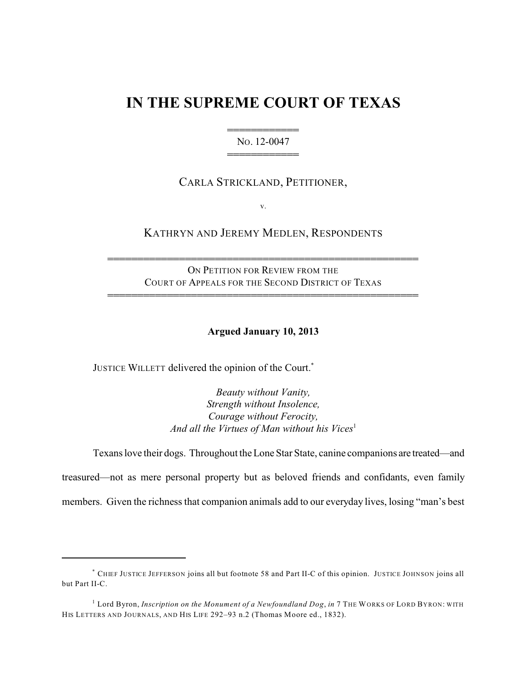# **IN THE SUPREME COURT OF TEXAS**

444444444444 NO. 12-0047 444444444444

# CARLA STRICKLAND, PETITIONER,

v.

# KATHRYN AND JEREMY MEDLEN, RESPONDENTS

ON PETITION FOR REVIEW FROM THE COURT OF APPEALS FOR THE SECOND DISTRICT OF TEXAS

4444444444444444444444444444444444444444444444444444

4444444444444444444444444444444444444444444444444444

### **Argued January 10, 2013**

JUSTICE WILLETT delivered the opinion of the Court.<sup>\*</sup>

*Beauty without Vanity, Strength without Insolence, Courage without Ferocity,* And all the Virtues of Man without his Vices<sup>1</sup>

Texans love their dogs. Throughout the Lone Star State, canine companions are treated—and treasured—not as mere personal property but as beloved friends and confidants, even family members. Given the richness that companion animals add to our everyday lives, losing "man's best

CHIEF JUSTICE JEFFERSON joins all but footnote 58 and Part II-C of this opinion. JUSTICE JOHNSON joins all \* but Part II-C.

<sup>&</sup>lt;sup>1</sup> Lord Byron, *Inscription on the Monument of a Newfoundland Dog, in* 7 THE WORKS OF LORD BYRON: WITH HIS LETTERS AND JOURNALS, AND HIS LIFE 292–93 n.2 (Thomas Moore ed., 1832).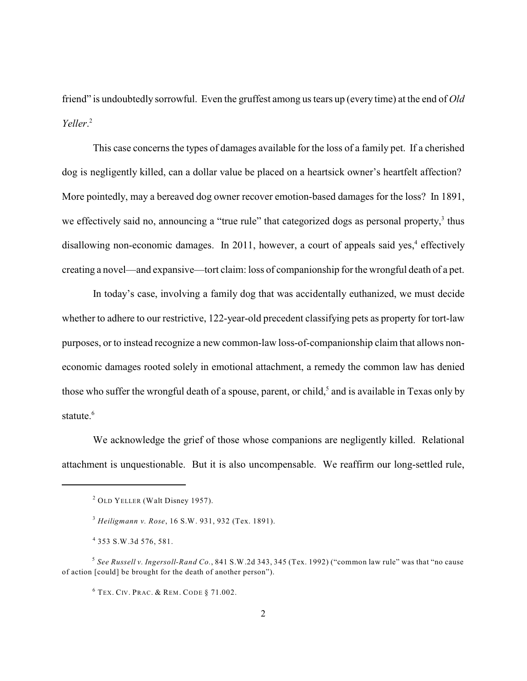friend" is undoubtedly sorrowful. Even the gruffest among us tears up (every time) at the end of *Old Yeller*. 2

This case concerns the types of damages available for the loss of a family pet. If a cherished dog is negligently killed, can a dollar value be placed on a heartsick owner's heartfelt affection? More pointedly, may a bereaved dog owner recover emotion-based damages for the loss? In 1891, we effectively said no, announcing a "true rule" that categorized dogs as personal property,<sup>3</sup> thus disallowing non-economic damages. In 2011, however, a court of appeals said yes, $4$  effectively creating a novel—and expansive—tort claim: loss of companionship for the wrongful death of a pet.

In today's case, involving a family dog that was accidentally euthanized, we must decide whether to adhere to our restrictive, 122-year-old precedent classifying pets as property for tort-law purposes, or to instead recognize a new common-law loss-of-companionship claim that allows noneconomic damages rooted solely in emotional attachment, a remedy the common law has denied those who suffer the wrongful death of a spouse, parent, or child,<sup>5</sup> and is available in Texas only by statute.<sup>6</sup>

We acknowledge the grief of those whose companions are negligently killed. Relational attachment is unquestionable. But it is also uncompensable. We reaffirm our long-settled rule,

 $2$  OLD YELLER (Walt Disney 1957).

*Heiligmann v. Rose*, 16 S.W. 931, 932 (Tex. 1891). 3

<sup>353</sup> S.W.3d 576, 581. 4

*See Russell v. Ingersoll-Rand Co.*, 841 S.W.2d 343, 345 (Tex. 1992) ("common law rule" was that "no cause 5 of action [could] be brought for the death of another person").

 $^6$  Tex. Civ. Prac. & Rem. Code § 71.002.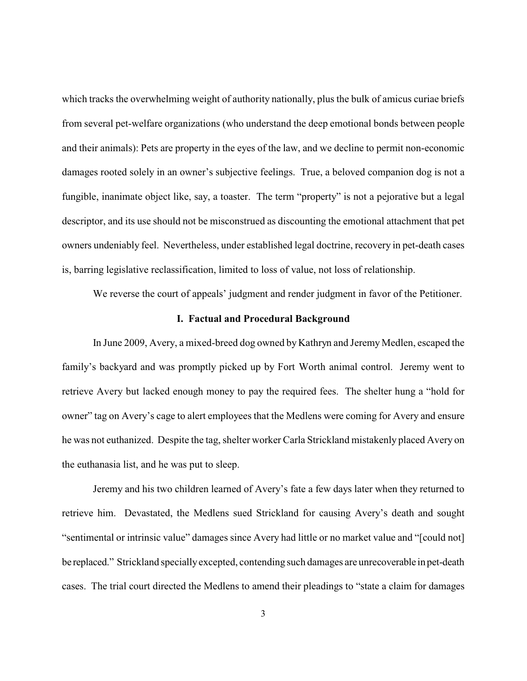which tracks the overwhelming weight of authority nationally, plus the bulk of amicus curiae briefs from several pet-welfare organizations (who understand the deep emotional bonds between people and their animals): Pets are property in the eyes of the law, and we decline to permit non-economic damages rooted solely in an owner's subjective feelings. True, a beloved companion dog is not a fungible, inanimate object like, say, a toaster. The term "property" is not a pejorative but a legal descriptor, and its use should not be misconstrued as discounting the emotional attachment that pet owners undeniably feel. Nevertheless, under established legal doctrine, recovery in pet-death cases is, barring legislative reclassification, limited to loss of value, not loss of relationship.

We reverse the court of appeals' judgment and render judgment in favor of the Petitioner.

#### **I. Factual and Procedural Background**

In June 2009, Avery, a mixed-breed dog owned by Kathryn and Jeremy Medlen, escaped the family's backyard and was promptly picked up by Fort Worth animal control. Jeremy went to retrieve Avery but lacked enough money to pay the required fees. The shelter hung a "hold for owner" tag on Avery's cage to alert employees that the Medlens were coming for Avery and ensure he was not euthanized. Despite the tag, shelter worker Carla Strickland mistakenly placed Avery on the euthanasia list, and he was put to sleep.

Jeremy and his two children learned of Avery's fate a few days later when they returned to retrieve him. Devastated, the Medlens sued Strickland for causing Avery's death and sought "sentimental or intrinsic value" damages since Avery had little or no market value and "[could not] be replaced." Strickland speciallyexcepted, contending such damages are unrecoverable in pet-death cases. The trial court directed the Medlens to amend their pleadings to "state a claim for damages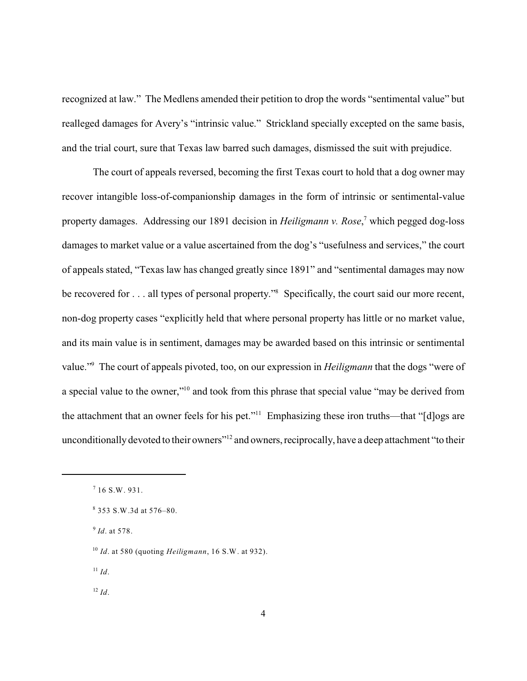recognized at law." The Medlens amended their petition to drop the words "sentimental value" but realleged damages for Avery's "intrinsic value." Strickland specially excepted on the same basis, and the trial court, sure that Texas law barred such damages, dismissed the suit with prejudice.

The court of appeals reversed, becoming the first Texas court to hold that a dog owner may recover intangible loss-of-companionship damages in the form of intrinsic or sentimental-value property damages. Addressing our 1891 decision in *Heiligmann v. Rose*,<sup>7</sup> which pegged dog-loss damages to market value or a value ascertained from the dog's "usefulness and services," the court of appeals stated, "Texas law has changed greatly since 1891" and "sentimental damages may now be recovered for  $\dots$  all types of personal property." Specifically, the court said our more recent, non-dog property cases "explicitly held that where personal property has little or no market value, and its main value is in sentiment, damages may be awarded based on this intrinsic or sentimental value."<sup>9</sup> The court of appeals pivoted, too, on our expression in *Heiligmann* that the dogs "were of a special value to the owner,"<sup>10</sup> and took from this phrase that special value "may be derived from the attachment that an owner feels for his pet." $11$  Emphasizing these iron truths—that "[d]ogs are unconditionally devoted to their owners"<sup>12</sup> and owners, reciprocally, have a deep attachment "to their

 $I^1$  *Id*.

 $^{12}$  *Id*.

 $7$  16 S.W. 931.

 $8353$  S.W.3d at 576–80.

<sup>&</sup>lt;sup>9</sup> Id. at 578.

*Id*. at 580 (quoting *Heiligmann*, 16 S.W. at 932). 10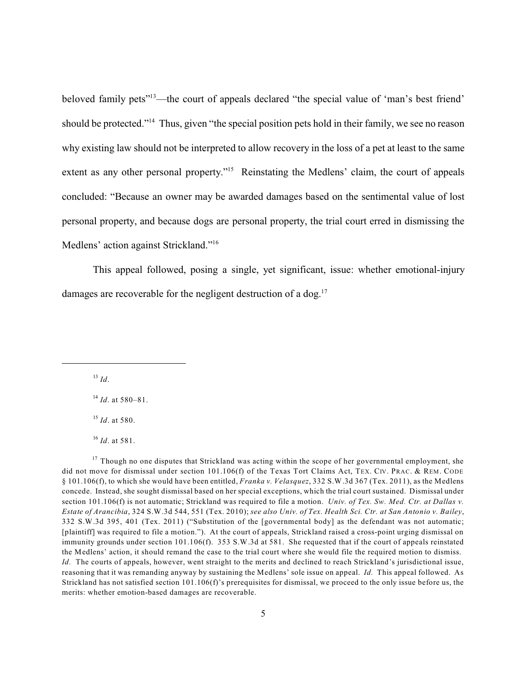beloved family pets"<sup>13</sup>—the court of appeals declared "the special value of 'man's best friend' should be protected."<sup>14</sup> Thus, given "the special position pets hold in their family, we see no reason why existing law should not be interpreted to allow recovery in the loss of a pet at least to the same extent as any other personal property."<sup>15</sup> Reinstating the Medlens' claim, the court of appeals concluded: "Because an owner may be awarded damages based on the sentimental value of lost personal property, and because dogs are personal property, the trial court erred in dismissing the Medlens' action against Strickland."<sup>16</sup>

This appeal followed, posing a single, yet significant, issue: whether emotional-injury damages are recoverable for the negligent destruction of a dog.<sup>17</sup>

 $^{13}$  *Id*.

<sup>14</sup> *Id*. at 580–81.

<sup>15</sup> *Id*. at 580.

<sup>16</sup> *Id*. at 581.

 $17$  Though no one disputes that Strickland was acting within the scope of her governmental employment, she did not move for dismissal under section 101.106(f) of the Texas Tort Claims Act, TEX. CIV. PRAC. & REM. CODE § 101.106(f), to which she would have been entitled, *Franka v. Velasquez*, 332 S.W.3d 367 (Tex. 2011), as the Medlens concede. Instead, she sought dismissal based on her special exceptions, which the trial court sustained. Dismissal under section 101.106(f) is not automatic; Strickland was required to file a motion. *Univ. of Tex. Sw. Med. Ctr. at Dallas v. Estate of Arancibia*, 324 S.W.3d 544, 551 (Tex. 2010); *see also Univ. of Tex. Health Sci. Ctr. at San Antonio v. Bailey*, 332 S.W.3d 395, 401 (Tex. 2011) ("Substitution of the [governmental body] as the defendant was not automatic; [plaintiff] was required to file a motion."). At the court of appeals, Strickland raised a cross-point urging dismissal on immunity grounds under section 101.106(f). 353 S.W.3d at 581. She requested that if the court of appeals reinstated the Medlens' action, it should remand the case to the trial court where she would file the required motion to dismiss. *Id.* The courts of appeals, however, went straight to the merits and declined to reach Strickland's jurisdictional issue, reasoning that it was remanding anyway by sustaining the Medlens' sole issue on appeal. *Id.* This appeal followed. As Strickland has not satisfied section 101.106(f)'s prerequisites for dismissal, we proceed to the only issue before us, the merits: whether emotion-based damages are recoverable.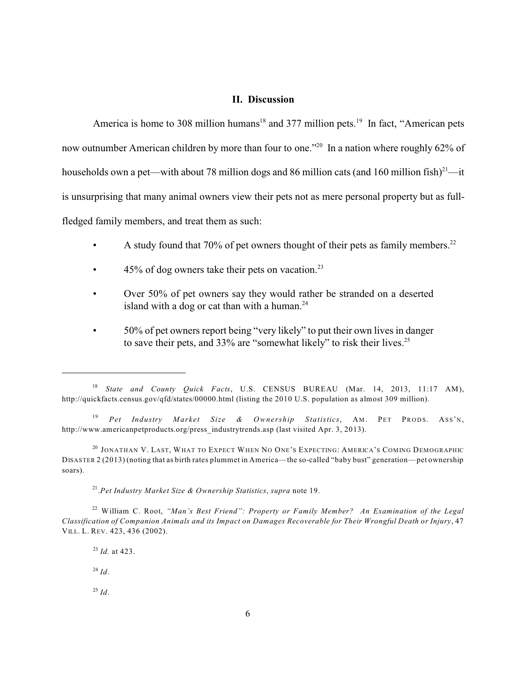#### **II. Discussion**

America is home to 308 million humans<sup>18</sup> and 377 million pets.<sup>19</sup> In fact, "American pets now outnumber American children by more than four to one.<sup> $20$ </sup> In a nation where roughly 62% of households own a pet—with about 78 million dogs and 86 million cats (and 160 million fish)<sup>21</sup>—it is unsurprising that many animal owners view their pets not as mere personal property but as fullfledged family members, and treat them as such:

- A study found that 70% of pet owners thought of their pets as family members.<sup>22</sup>
- $45\%$  of dog owners take their pets on vacation.<sup>23</sup>
- Over 50% of pet owners say they would rather be stranded on a deserted island with a dog or cat than with a human. $24$
- 50% of pet owners report being "very likely" to put their own lives in danger to save their pets, and 33% are "somewhat likely" to risk their lives.<sup>25</sup>

.*Pet Industry Market Size & Ownership Statistics*, *supra* note 19. 21

William C. Root, *"Man's Best Friend": Property or Family Member? An Examination of the Legal* 22 *Classification of Companion Animals and its Impact on Damages Recoverable for Their Wrongful Death or Injury*, 47 VILL. L. REV. 423, 436 (2002).

<sup>23</sup> *Id.* at 423.  $^{24}$  *Id*.

 $^{25}$  *Id*.

*State and County Quick Facts*, U.S. CENSUS BUREAU (Mar. 14, 2013, 11:17 AM), 18 http://quickfacts.census.gov/qfd/states/00000.html (listing the 2010 U.S. population as almost 309 million).

<sup>&</sup>lt;sup>19</sup> Pet Industry Market Size & Ownership Statistics, AM. PET PRODS. ASS'N, http://www.americanpetproducts.org/press\_industrytrends.asp (last visited Apr. 3, 2013).

<sup>&</sup>lt;sup>20</sup> JONATHAN V. LAST, WHAT TO EXPECT WHEN NO ONE'S EXPECTING: AMERICA'S COMING DEMOGRAPHIC DISASTER 2 (2013) (noting that as birth rates plummet in America—the so-called "baby bust" generation—pet ownership soars).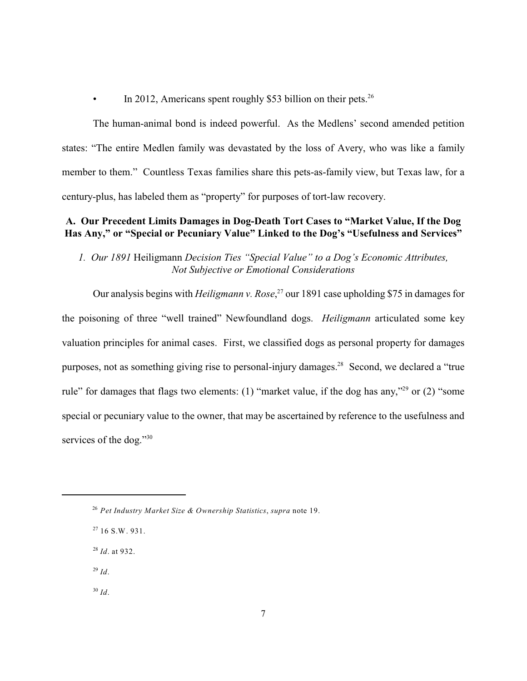In 2012, Americans spent roughly \$53 billion on their pets. $26$ 

The human-animal bond is indeed powerful. As the Medlens' second amended petition states: "The entire Medlen family was devastated by the loss of Avery, who was like a family member to them." Countless Texas families share this pets-as-family view, but Texas law, for a century-plus, has labeled them as "property" for purposes of tort-law recovery.

## **A. Our Precedent Limits Damages in Dog-Death Tort Cases to "Market Value, If the Dog Has Any," or "Special or Pecuniary Value" Linked to the Dog's "Usefulness and Services"**

*1. Our 1891* Heiligmann *Decision Ties "Special Value" to a Dog's Economic Attributes, Not Subjective or Emotional Considerations*

Our analysis begins with *Heiligmann v. Rose*<sup>27</sup> our 1891 case upholding \$75 in damages for the poisoning of three "well trained" Newfoundland dogs. *Heiligmann* articulated some key valuation principles for animal cases. First, we classified dogs as personal property for damages purposes, not as something giving rise to personal-injury damages.<sup>28</sup> Second, we declared a "true" rule" for damages that flags two elements: (1) "market value, if the dog has any,"<sup>29</sup> or (2) "some special or pecuniary value to the owner, that may be ascertained by reference to the usefulness and services of the dog."<sup>30</sup>

- <sup>28</sup> *Id*. at 932.
- *Id*. 29
- *Id*. 30

*Pet Industry Market Size & Ownership Statistics*, *supra* note 19. 26

 $27$  16 S.W. 931.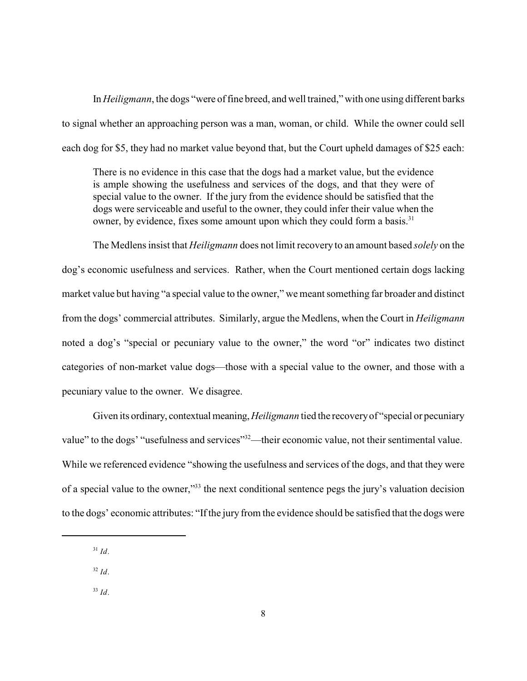In *Heiligmann*, the dogs "were of fine breed, and well trained,"with one using different barks to signal whether an approaching person was a man, woman, or child. While the owner could sell each dog for \$5, they had no market value beyond that, but the Court upheld damages of \$25 each:

There is no evidence in this case that the dogs had a market value, but the evidence is ample showing the usefulness and services of the dogs, and that they were of special value to the owner. If the jury from the evidence should be satisfied that the dogs were serviceable and useful to the owner, they could infer their value when the owner, by evidence, fixes some amount upon which they could form a basis.<sup>31</sup>

The Medlens insist that *Heiligmann* does not limit recovery to an amount based *solely* on the dog's economic usefulness and services. Rather, when the Court mentioned certain dogs lacking market value but having "a special value to the owner," we meant something far broader and distinct from the dogs' commercial attributes. Similarly, argue the Medlens, when the Court in *Heiligmann* noted a dog's "special or pecuniary value to the owner," the word "or" indicates two distinct categories of non-market value dogs—those with a special value to the owner, and those with a pecuniary value to the owner. We disagree.

Given its ordinary, contextual meaning,*Heiligmann* tied the recoveryof "special or pecuniary value" to the dogs' "usefulness and services"<sup>32</sup>—their economic value, not their sentimental value. While we referenced evidence "showing the usefulness and services of the dogs, and that they were of a special value to the owner,"<sup>33</sup> the next conditional sentence pegs the jury's valuation decision to the dogs' economic attributes: "If the jury from the evidence should be satisfied that the dogs were

- *Id*. 32
- $J^3$  *Id*.

 $J^3$  *Id.*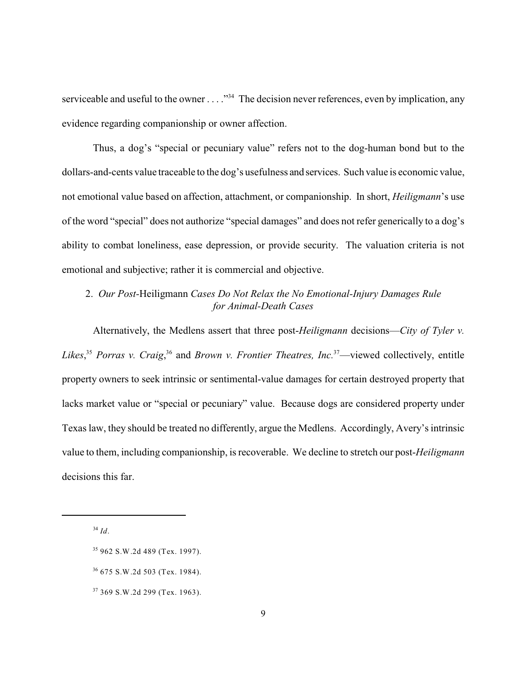serviceable and useful to the owner  $\dots$ ."<sup>34</sup> The decision never references, even by implication, any evidence regarding companionship or owner affection.

Thus, a dog's "special or pecuniary value" refers not to the dog-human bond but to the dollars-and-cents value traceable to the dog's usefulness and services. Such value is economic value, not emotional value based on affection, attachment, or companionship. In short, *Heiligmann*'s use of the word "special" does not authorize "special damages" and does not refer generically to a dog's ability to combat loneliness, ease depression, or provide security. The valuation criteria is not emotional and subjective; rather it is commercial and objective.

## 2. *Our Post-*Heiligmann *Cases Do Not Relax the No Emotional-Injury Damages Rule for Animal-Death Cases*

Alternatively, the Medlens assert that three post-*Heiligmann* decisions—*City of Tyler v. Likes*,<sup>35</sup> Porras v. Craig,<sup>36</sup> and *Brown v. Frontier Theatres, Inc.*<sup>37</sup>—viewed collectively, entitle property owners to seek intrinsic or sentimental-value damages for certain destroyed property that lacks market value or "special or pecuniary" value. Because dogs are considered property under Texas law, they should be treated no differently, argue the Medlens. Accordingly, Avery's intrinsic value to them, including companionship, is recoverable. We decline to stretch our post-*Heiligmann* decisions this far.

<sup>37</sup> 369 S.W.2d 299 (Tex. 1963).

<sup>&</sup>lt;sup>34</sup> Id.

<sup>&</sup>lt;sup>35</sup> 962 S.W.2d 489 (Tex. 1997).

<sup>675</sup> S.W.2d 503 (Tex. 1984). 36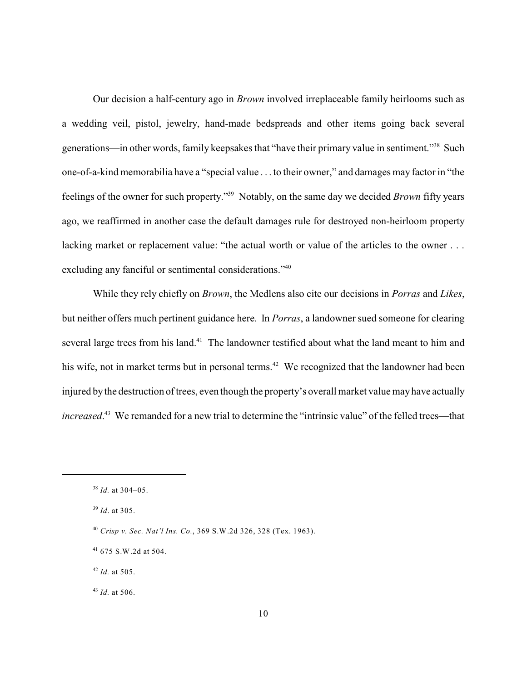Our decision a half-century ago in *Brown* involved irreplaceable family heirlooms such as a wedding veil, pistol, jewelry, hand-made bedspreads and other items going back several generations—in other words, family keepsakes that "have their primary value in sentiment."<sup>38</sup> Such one-of-a-kind memorabilia have a "special value . . . to their owner," and damages may factor in "the feelings of the owner for such property."<sup>39</sup> Notably, on the same day we decided *Brown* fifty years ago, we reaffirmed in another case the default damages rule for destroyed non-heirloom property lacking market or replacement value: "the actual worth or value of the articles to the owner . . . excluding any fanciful or sentimental considerations."<sup>40</sup>

While they rely chiefly on *Brown*, the Medlens also cite our decisions in *Porras* and *Likes*, but neither offers much pertinent guidance here. In *Porras*, a landowner sued someone for clearing several large trees from his land.<sup>41</sup> The landowner testified about what the land meant to him and his wife, not in market terms but in personal terms.<sup>42</sup> We recognized that the landowner had been injured bythe destruction of trees, even though the property's overall market value mayhave actually *increased*.<sup>43</sup> We remanded for a new trial to determine the "intrinsic value" of the felled trees—that

<sup>&</sup>lt;sup>38</sup> *Id.* at 304–05.

<sup>&</sup>lt;sup>39</sup> *Id*. at 305.

*Crisp v. Sec. Nat'l Ins. Co.*, 369 S.W.2d 326, 328 (Tex. 1963). 40

 $41$  675 S.W.2d at 504.

 $^{42}$  *Id.* at 505.

 $^{43}$  *Id.* at 506.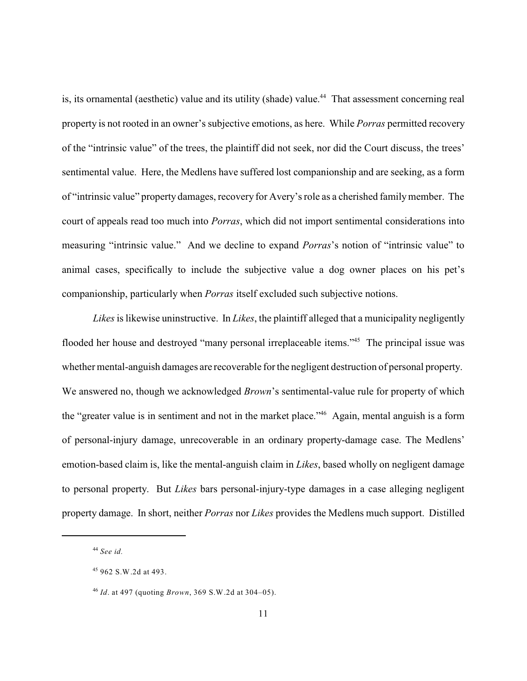is, its ornamental (aesthetic) value and its utility (shade) value.<sup>44</sup> That assessment concerning real property is not rooted in an owner's subjective emotions, as here. While *Porras* permitted recovery of the "intrinsic value" of the trees, the plaintiff did not seek, nor did the Court discuss, the trees' sentimental value. Here, the Medlens have suffered lost companionship and are seeking, as a form of "intrinsic value" property damages, recovery for Avery's role as a cherished familymember. The court of appeals read too much into *Porras*, which did not import sentimental considerations into measuring "intrinsic value." And we decline to expand *Porras*'s notion of "intrinsic value" to animal cases, specifically to include the subjective value a dog owner places on his pet's companionship, particularly when *Porras* itself excluded such subjective notions.

*Likes*is likewise uninstructive. In *Likes*, the plaintiff alleged that a municipality negligently flooded her house and destroyed "many personal irreplaceable items."<sup>45</sup> The principal issue was whether mental-anguish damages are recoverable for the negligent destruction of personal property. We answered no, though we acknowledged *Brown*'s sentimental-value rule for property of which the "greater value is in sentiment and not in the market place."<sup>46</sup> Again, mental anguish is a form of personal-injury damage, unrecoverable in an ordinary property-damage case. The Medlens' emotion-based claim is, like the mental-anguish claim in *Likes*, based wholly on negligent damage to personal property. But *Likes* bars personal-injury-type damages in a case alleging negligent property damage. In short, neither *Porras* nor *Likes* provides the Medlens much support. Distilled

*See id.* 44

<sup>962</sup> S.W.2d at 493. 45

*Id*. at 497 (quoting *Brown*, 369 S.W.2d at 304–05). 46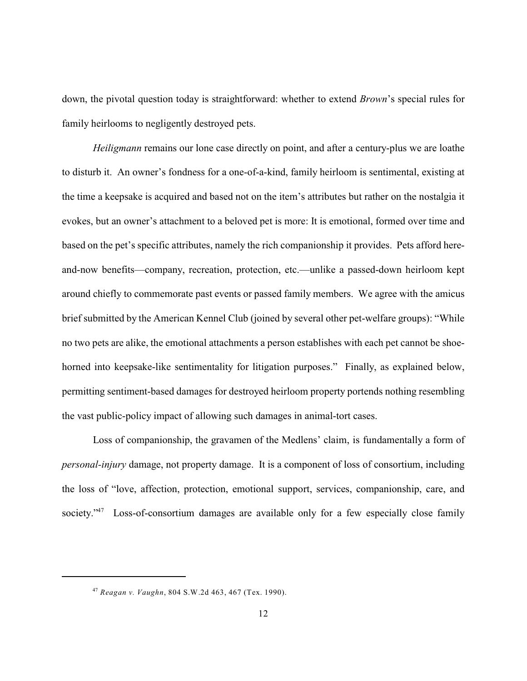down, the pivotal question today is straightforward: whether to extend *Brown*'s special rules for family heirlooms to negligently destroyed pets.

*Heiligmann* remains our lone case directly on point, and after a century-plus we are loathe to disturb it. An owner's fondness for a one-of-a-kind, family heirloom is sentimental, existing at the time a keepsake is acquired and based not on the item's attributes but rather on the nostalgia it evokes, but an owner's attachment to a beloved pet is more: It is emotional, formed over time and based on the pet's specific attributes, namely the rich companionship it provides. Pets afford hereand-now benefits—company, recreation, protection, etc.—unlike a passed-down heirloom kept around chiefly to commemorate past events or passed family members. We agree with the amicus brief submitted by the American Kennel Club (joined by several other pet-welfare groups): "While no two pets are alike, the emotional attachments a person establishes with each pet cannot be shoehorned into keepsake-like sentimentality for litigation purposes." Finally, as explained below, permitting sentiment-based damages for destroyed heirloom property portends nothing resembling the vast public-policy impact of allowing such damages in animal-tort cases.

Loss of companionship, the gravamen of the Medlens' claim, is fundamentally a form of *personal-injury* damage, not property damage. It is a component of loss of consortium, including the loss of "love, affection, protection, emotional support, services, companionship, care, and society."<sup>47</sup> Loss-of-consortium damages are available only for a few especially close family

*Reagan v. Vaughn*, 804 S.W.2d 463, 467 (Tex. 1990). 47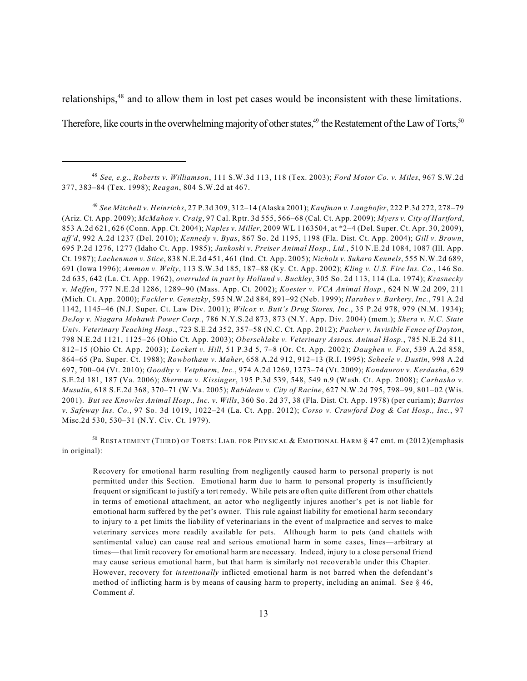relationships, $48$  and to allow them in lost pet cases would be inconsistent with these limitations.

Therefore, like courts in the overwhelming majority of other states,  $49$  the Restatement of the Law of Torts,  $50$ 

*See Mitchell v. Heinrichs*, 27 P.3d 309, 312–14 (Alaska 2001); *Kaufman v. Langhofer*, 222 P.3d 272, 278–79 49 (Ariz. Ct. App. 2009); *McMahon v. Craig*, 97 Cal. Rptr. 3d 555, 566–68 (Cal. Ct. App. 2009); *Myers v. City of Hartford*, 853 A.2d 621, 626 (Conn. App. Ct. 2004); *Naples v. Miller*, 2009 WL 1163504, at \*2–4 (Del. Super. Ct. Apr. 30, 2009), *aff'd*, 992 A.2d 1237 (Del. 2010); *Kennedy v. Byas*, 867 So. 2d 1195, 1198 (Fla. Dist. Ct. App. 2004); *Gill v. Brown*, 695 P.2d 1276, 1277 (Idaho Ct. App. 1985); *Jankoski v. Preiser Animal Hosp., Ltd.*, 510 N.E.2d 1084, 1087 (Ill. App. Ct. 1987); *Lachenman v. Stice*, 838 N.E.2d 451, 461 (Ind. Ct. App. 2005); *Nichols v. Sukaro Kennels*, 555 N.W.2d 689, 691 (Iowa 1996); *Ammon v. Welty*, 113 S.W.3d 185, 187–88 (Ky. Ct. App. 2002); *Kling v. U.S. Fire Ins. Co.*, 146 So. 2d 635, 642 (La. Ct. App. 1962), *overruled in part by Holland v. Buckley*, 305 So. 2d 113, 114 (La. 1974); *Krasnecky v. Meffen*, 777 N.E.2d 1286, 1289–90 (Mass. App. Ct. 2002); *Koester v. VCA Animal Hosp.*, 624 N.W.2d 209, 211 (Mich. Ct. App. 2000); *Fackler v. Genetzky*, 595 N.W.2d 884, 891–92 (Neb. 1999); *Harabes v. Barkery, Inc.*, 791 A.2d 1142, 1145–46 (N.J. Super. Ct. Law Div. 2001); *Wilcox v. Butt's Drug Stores, Inc.*, 35 P.2d 978, 979 (N.M. 1934); *DeJoy v. Niagara Mohawk Power Corp.*, 786 N.Y.S.2d 873, 873 (N.Y. App. Div. 2004) (mem.); *Shera v. N.C. State Univ. Veterinary Teaching Hosp.*, 723 S.E.2d 352, 357–58 (N.C. Ct. App. 2012); *Pacher v. Invisible Fence of Dayton*, 798 N.E.2d 1121, 1125–26 (Ohio Ct. App. 2003); *Oberschlake v. Veterinary Assocs. Animal Hosp.*, 785 N.E.2d 811, 812–15 (Ohio Ct. App. 2003); *Lockett v. Hill*, 51 P.3d 5, 7–8 (Or. Ct. App. 2002); *Daughen v. Fox*, 539 A.2d 858, 864–65 (Pa. Super. Ct. 1988); *Rowbotham v. Maher*, 658 A.2d 912, 912–13 (R.I. 1995); *Scheele v. Dustin*, 998 A.2d 697, 700–04 (Vt. 2010); *Goodby v. Vetpharm, Inc.*, 974 A.2d 1269, 1273–74 (Vt. 2009); *Kondaurov v. Kerdasha*, 629 S.E.2d 181, 187 (Va. 2006); *Sherman v. Kissinger*, 195 P.3d 539, 548, 549 n.9 (Wash. Ct. App. 2008); *Carbasho v. Musulin*, 618 S.E.2d 368, 370–71 (W.Va. 2005); *Rabideau v. City of Racine*, 627 N.W.2d 795, 798–99, 801–02 (Wis. 2001). *But see Knowles Animal Hosp., Inc. v. Wills*, 360 So. 2d 37, 38 (Fla. Dist. Ct. App. 1978) (per curiam); *Barrios v. Safeway Ins. Co.*, 97 So. 3d 1019, 1022–24 (La. Ct. App. 2012); *Corso v. Crawford Dog & Cat Hosp., Inc.*, 97 Misc.2d 530, 530–31 (N.Y. Civ. Ct. 1979).

 $^{50}$  Restatement (Third) of Torts: Liab. for Physical & Emotional Harm § 47 cmt. m (2012)(emphasis in original):

Recovery for emotional harm resulting from negligently caused harm to personal property is not permitted under this Section. Emotional harm due to harm to personal property is insufficiently frequent or significant to justify a tort remedy. While pets are often quite different from other chattels in terms of emotional attachment, an actor who negligently injures another's pet is not liable for emotional harm suffered by the pet's owner. This rule against liability for emotional harm secondary to injury to a pet limits the liability of veterinarians in the event of malpractice and serves to make veterinary services more readily available for pets. Although harm to pets (and chattels with sentimental value) can cause real and serious emotional harm in some cases, lines—arbitrary at times—that limit recovery for emotional harm are necessary. Indeed, injury to a close personal friend may cause serious emotional harm, but that harm is similarly not recoverable under this Chapter. However, recovery for *intentionally* inflicted emotional harm is not barred when the defendant's method of inflicting harm is by means of causing harm to property, including an animal. See § 46, Comment *d*.

*See, e.g.*, *Roberts v. Williamson*, 111 S.W.3d 113, 118 (Tex. 2003); *Ford Motor Co. v. Miles*, 967 S.W.2d 48 377, 383–84 (Tex. 1998); *Reagan*, 804 S.W.2d at 467.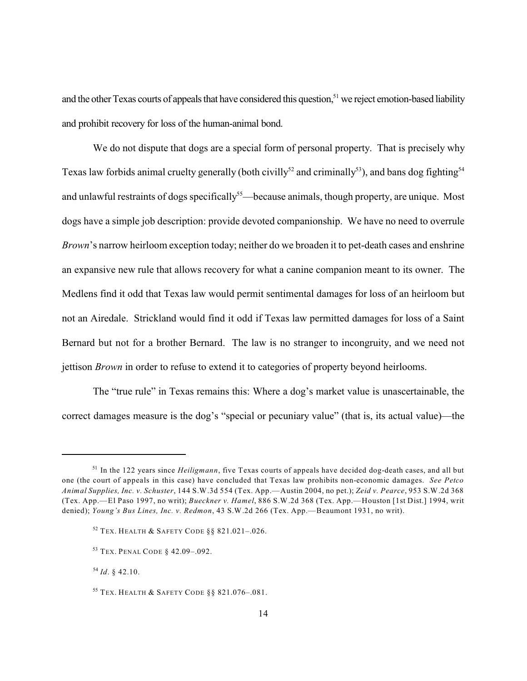and the other Texas courts of appeals that have considered this question,<sup>51</sup> we reject emotion-based liability and prohibit recovery for loss of the human-animal bond.

We do not dispute that dogs are a special form of personal property. That is precisely why Texas law forbids animal cruelty generally (both civilly<sup>52</sup> and criminally<sup>53</sup>), and bans dog fighting<sup>54</sup> and unlawful restraints of dogs specifically<sup>55</sup>—because animals, though property, are unique. Most dogs have a simple job description: provide devoted companionship. We have no need to overrule *Brown*'s narrow heirloom exception today; neither do we broaden it to pet-death cases and enshrine an expansive new rule that allows recovery for what a canine companion meant to its owner. The Medlens find it odd that Texas law would permit sentimental damages for loss of an heirloom but not an Airedale. Strickland would find it odd if Texas law permitted damages for loss of a Saint Bernard but not for a brother Bernard. The law is no stranger to incongruity, and we need not jettison *Brown* in order to refuse to extend it to categories of property beyond heirlooms.

The "true rule" in Texas remains this: Where a dog's market value is unascertainable, the correct damages measure is the dog's "special or pecuniary value" (that is, its actual value)—the

<sup>&</sup>lt;sup>51</sup> In the 122 years since *Heiligmann*, five Texas courts of appeals have decided dog-death cases, and all but one (the court of appeals in this case) have concluded that Texas law prohibits non-economic damages. *See Petco Animal Supplies, Inc. v. Schuster*, 144 S.W.3d 554 (Tex. App.—Austin 2004, no pet.); *Zeid v. Pearce*, 953 S.W.2d 368 (Tex. App.—El Paso 1997, no writ); *Bueckner v. Hamel*, 886 S.W.2d 368 (Tex. App.—Houston [1st Dist.] 1994, writ denied); *Young's Bus Lines, Inc. v. Redmon*, 43 S.W.2d 266 (Tex. App.—Beaumont 1931, no writ).

 $52$  Tex. Health & Safety Code  $\S$ § 821.021-.026.

<sup>&</sup>lt;sup>53</sup> TEX. PENAL CODE § 42.09-.092.

 $^{54}$  *Id*. § 42.10.

<sup>&</sup>lt;sup>55</sup> TEX. HEALTH & SAFETY CODE §§ 821.076-.081.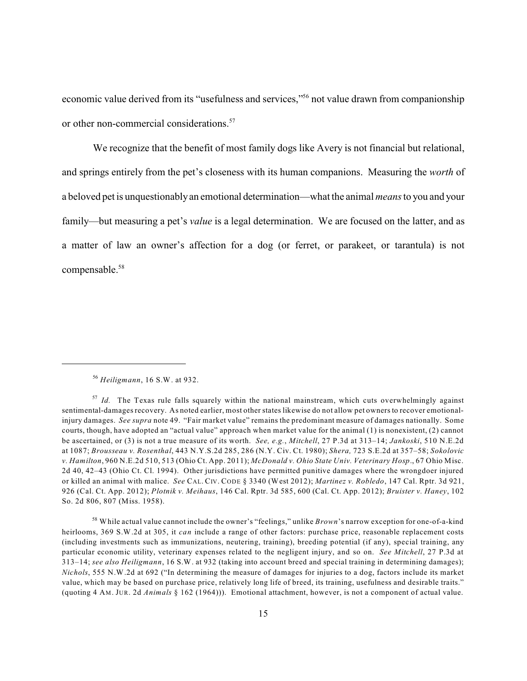economic value derived from its "usefulness and services,"<sup>56</sup> not value drawn from companionship or other non-commercial considerations.<sup>57</sup>

We recognize that the benefit of most family dogs like Avery is not financial but relational, and springs entirely from the pet's closeness with its human companions. Measuring the *worth* of a beloved pet is unquestionablyan emotional determination—what the animal *means* to you and your family—but measuring a pet's *value* is a legal determination. We are focused on the latter, and as a matter of law an owner's affection for a dog (or ferret, or parakeet, or tarantula) is not compensable.<sup>58</sup>

*Heiligmann*, 16 S.W. at 932. 56

<sup>&</sup>lt;sup>57</sup> Id. The Texas rule falls squarely within the national mainstream, which cuts overwhelmingly against sentimental-damagesrecovery. As noted earlier, most other states likewise do not allow pet owners to recover emotionalinjury damages. *See supra* note 49. "Fair market value" remains the predominant measure of damages nationally. Some courts, though, have adopted an "actual value" approach when market value for the animal (1) is nonexistent, (2) cannot be ascertained, or (3) is not a true measure of its worth. *See, e.g.*, *Mitchell*, 27 P.3d at 313–14; *Jankoski*, 510 N.E.2d at 1087; *Brousseau v. Rosenthal*, 443 N.Y.S.2d 285, 286 (N.Y. Civ. Ct. 1980); *Shera,* 723 S.E.2d at 357–58; *Sokolovic v. Hamilton*, 960 N.E.2d 510, 513 (Ohio Ct. App. 2011); *McDonald v. Ohio State Univ. Veterinary Hosp*., 67 Ohio Misc. 2d 40, 42–43 (Ohio Ct. Cl. 1994). Other jurisdictions have permitted punitive damages where the wrongdoer injured or killed an animal with malice. *See* CAL. CIV. CODE § 3340 (West 2012); *Martinez v. Robledo*, 147 Cal. Rptr. 3d 921, 926 (Cal. Ct. App. 2012); *Plotnik v. Meihaus*, 146 Cal. Rptr. 3d 585, 600 (Cal. Ct. App. 2012); *Bruister v. Haney*, 102 So. 2d 806, 807 (Miss. 1958).

While actual value cannot include the owner's "feelings," unlike *Brown*'s narrow exception for one-of-a-kind 58 heirlooms, 369 S.W.2d at 305, it *can* include a range of other factors: purchase price, reasonable replacement costs (including investments such as immunizations, neutering, training), breeding potential (if any), special training, any particular economic utility, veterinary expenses related to the negligent injury, and so on. *See Mitchell*, 27 P.3d at 313–14; *see also Heiligmann*, 16 S.W. at 932 (taking into account breed and special training in determining damages); *Nichols*, 555 N.W.2d at 692 ("In determining the measure of damages for injuries to a dog, factors include its market value, which may be based on purchase price, relatively long life of breed, its training, usefulness and desirable traits." (quoting 4 AM. JUR. 2d *Animals* § 162 (1964))). Emotional attachment, however, is not a component of actual value.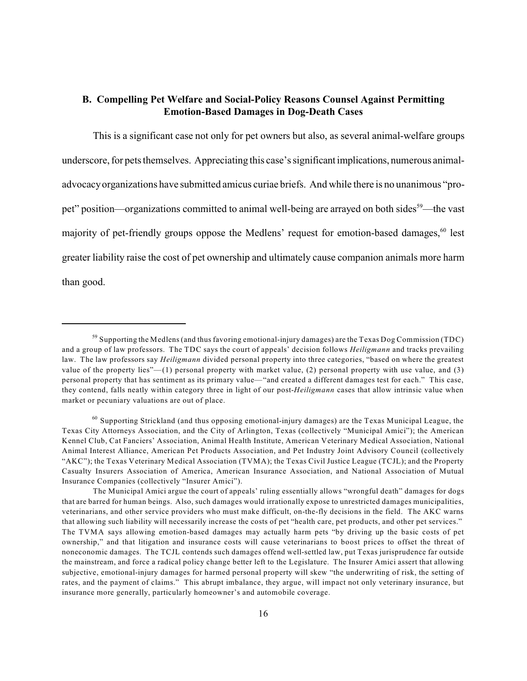## **B. Compelling Pet Welfare and Social-Policy Reasons Counsel Against Permitting Emotion-Based Damages in Dog-Death Cases**

This is a significant case not only for pet owners but also, as several animal-welfare groups underscore, for pets themselves. Appreciating this case's significant implications, numerous animaladvocacyorganizations have submitted amicus curiae briefs. And while there is no unanimous "propet" position—organizations committed to animal well-being are arrayed on both sides  $59$ —the vast majority of pet-friendly groups oppose the Medlens' request for emotion-based damages,  $60$  lest greater liability raise the cost of pet ownership and ultimately cause companion animals more harm than good.

<sup>&</sup>lt;sup>59</sup> Supporting the Medlens (and thus favoring emotional-injury damages) are the Texas Dog Commission (TDC) and a group of law professors. The TDC says the court of appeals' decision follows *Heiligmann* and tracks prevailing law. The law professors say *Heiligmann* divided personal property into three categories, "based on where the greatest value of the property lies"— $(1)$  personal property with market value,  $(2)$  personal property with use value, and  $(3)$ personal property that has sentiment as its primary value—"and created a different damages test for each." This case, they contend, falls neatly within category three in light of our post-*Heiligmann* cases that allow intrinsic value when market or pecuniary valuations are out of place.

 $60$  Supporting Strickland (and thus opposing emotional-injury damages) are the Texas Municipal League, the Texas City Attorneys Association, and the City of Arlington, Texas (collectively "Municipal Amici"); the American Kennel Club, Cat Fanciers' Association, Animal Health Institute, American Veterinary Medical Association, National Animal Interest Alliance, American Pet Products Association, and Pet Industry Joint Advisory Council (collectively "AKC"); the Texas Veterinary Medical Association (TVMA); the Texas Civil Justice League (TCJL); and the Property Casualty Insurers Association of America, American Insurance Association, and National Association of Mutual Insurance Companies (collectively "Insurer Amici").

The Municipal Amici argue the court of appeals' ruling essentially allows "wrongful death" damages for dogs that are barred for human beings. Also, such damages would irrationally expose to unrestricted damages municipalities, veterinarians, and other service providers who must make difficult, on-the-fly decisions in the field. The AKC warns that allowing such liability will necessarily increase the costs of pet "health care, pet products, and other pet services." The TVMA says allowing emotion-based damages may actually harm pets "by driving up the basic costs of pet ownership," and that litigation and insurance costs will cause veterinarians to boost prices to offset the threat of noneconomic damages. The TCJL contends such damages offend well-settled law, put Texas jurisprudence far outside the mainstream, and force a radical policy change better left to the Legislature. The Insurer Amici assert that allowing subjective, emotional-injury damages for harmed personal property will skew "the underwriting of risk, the setting of rates, and the payment of claims." This abrupt imbalance, they argue, will impact not only veterinary insurance, but insurance more generally, particularly homeowner's and automobile coverage.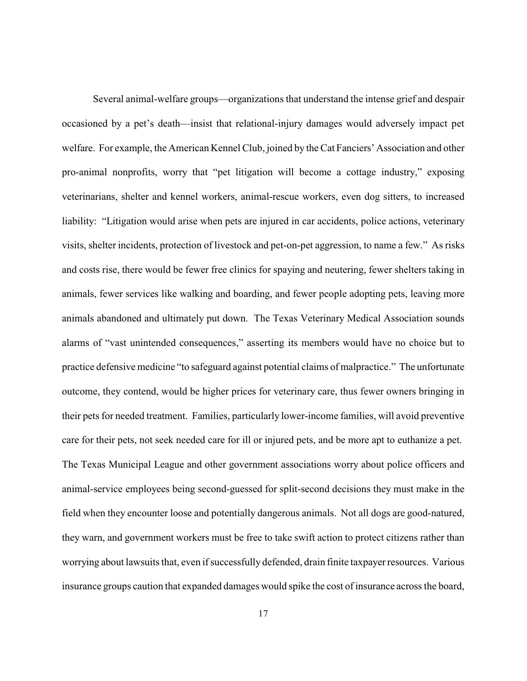Several animal-welfare groups—organizations that understand the intense grief and despair occasioned by a pet's death—insist that relational-injury damages would adversely impact pet welfare. For example, the American Kennel Club, joined by the Cat Fanciers' Association and other pro-animal nonprofits, worry that "pet litigation will become a cottage industry," exposing veterinarians, shelter and kennel workers, animal-rescue workers, even dog sitters, to increased liability: "Litigation would arise when pets are injured in car accidents, police actions, veterinary visits, shelter incidents, protection of livestock and pet-on-pet aggression, to name a few." As risks and costs rise, there would be fewer free clinics for spaying and neutering, fewer shelters taking in animals, fewer services like walking and boarding, and fewer people adopting pets, leaving more animals abandoned and ultimately put down. The Texas Veterinary Medical Association sounds alarms of "vast unintended consequences," asserting its members would have no choice but to practice defensive medicine "to safeguard against potential claims of malpractice." The unfortunate outcome, they contend, would be higher prices for veterinary care, thus fewer owners bringing in their pets for needed treatment. Families, particularly lower-income families, will avoid preventive care for their pets, not seek needed care for ill or injured pets, and be more apt to euthanize a pet. The Texas Municipal League and other government associations worry about police officers and animal-service employees being second-guessed for split-second decisions they must make in the field when they encounter loose and potentially dangerous animals. Not all dogs are good-natured, they warn, and government workers must be free to take swift action to protect citizens rather than worrying about lawsuits that, even if successfully defended, drain finite taxpayer resources. Various insurance groups caution that expanded damages would spike the cost of insurance across the board,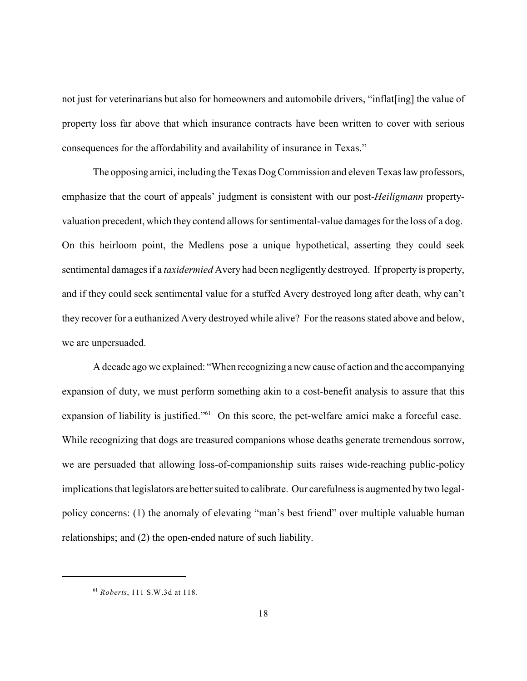not just for veterinarians but also for homeowners and automobile drivers, "inflat[ing] the value of property loss far above that which insurance contracts have been written to cover with serious consequences for the affordability and availability of insurance in Texas."

The opposing amici, including the Texas Dog Commission and eleven Texas law professors, emphasize that the court of appeals' judgment is consistent with our post-*Heiligmann* propertyvaluation precedent, which they contend allows for sentimental-value damages for the loss of a dog. On this heirloom point, the Medlens pose a unique hypothetical, asserting they could seek sentimental damages if a *taxidermied* Avery had been negligently destroyed. If property is property, and if they could seek sentimental value for a stuffed Avery destroyed long after death, why can't they recover for a euthanized Avery destroyed while alive? For the reasons stated above and below, we are unpersuaded.

A decade ago we explained: "When recognizing a new cause of action and the accompanying expansion of duty, we must perform something akin to a cost-benefit analysis to assure that this expansion of liability is justified."<sup>61</sup> On this score, the pet-welfare amici make a forceful case. While recognizing that dogs are treasured companions whose deaths generate tremendous sorrow, we are persuaded that allowing loss-of-companionship suits raises wide-reaching public-policy implications that legislators are better suited to calibrate. Our carefulness is augmented by two legalpolicy concerns: (1) the anomaly of elevating "man's best friend" over multiple valuable human relationships; and (2) the open-ended nature of such liability.

*Roberts*, 111 S.W.3d at 118. 61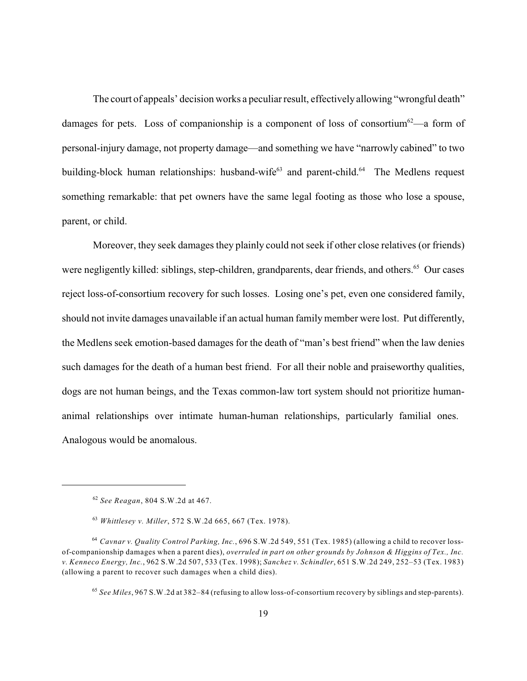The court of appeals' decision works a peculiar result, effectively allowing "wrongful death" damages for pets. Loss of companionship is a component of loss of consortium  $62$ —a form of personal-injury damage, not property damage—and something we have "narrowly cabined" to two building-block human relationships: husband-wife<sup> $63$ </sup> and parent-child.<sup> $64$ </sup> The Medlens request something remarkable: that pet owners have the same legal footing as those who lose a spouse, parent, or child.

Moreover, they seek damages they plainly could not seek if other close relatives (or friends) were negligently killed: siblings, step-children, grandparents, dear friends, and others.<sup>65</sup> Our cases reject loss-of-consortium recovery for such losses. Losing one's pet, even one considered family, should not invite damages unavailable if an actual human family member were lost. Put differently, the Medlens seek emotion-based damages for the death of "man's best friend" when the law denies such damages for the death of a human best friend. For all their noble and praiseworthy qualities, dogs are not human beings, and the Texas common-law tort system should not prioritize humananimal relationships over intimate human-human relationships, particularly familial ones. Analogous would be anomalous.

*See Reagan*, 804 S.W.2d at 467. 62

*Whittlesey v. Miller*, 572 S.W.2d 665, 667 (Tex. 1978). 63

*Cavnar v. Quality Control Parking, Inc.*, 696 S.W.2d 549, 551 (Tex. 1985) (allowing a child to recover loss-64 of-companionship damages when a parent dies), *overruled in part on other grounds by Johnson & Higgins of Tex., Inc. v. Kenneco Energy, Inc.*, 962 S.W.2d 507, 533 (Tex. 1998); *Sanchez v. Schindler*, 651 S.W.2d 249, 252–53 (Tex. 1983) (allowing a parent to recover such damages when a child dies).

<sup>&</sup>lt;sup>65</sup> See Miles, 967 S.W.2d at 382-84 (refusing to allow loss-of-consortium recovery by siblings and step-parents).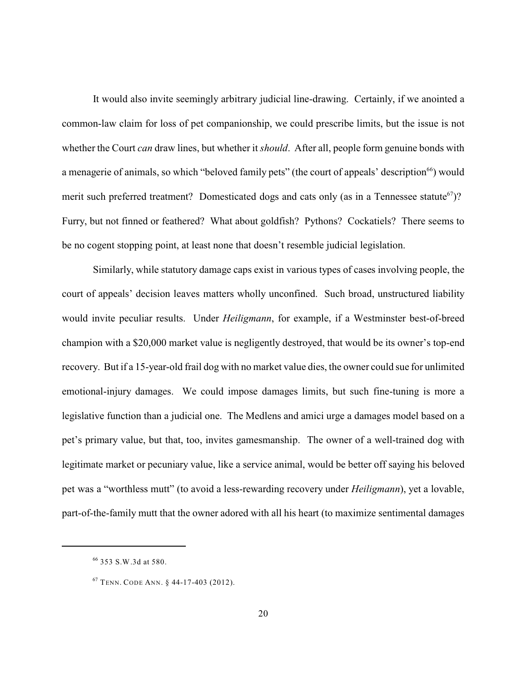It would also invite seemingly arbitrary judicial line-drawing. Certainly, if we anointed a common-law claim for loss of pet companionship, we could prescribe limits, but the issue is not whether the Court *can* draw lines, but whether it *should*. After all, people form genuine bonds with a menagerie of animals, so which "beloved family pets" (the court of appeals' description<sup>66</sup>) would merit such preferred treatment? Domesticated dogs and cats only (as in a Tennessee statute  $(67)$ ? Furry, but not finned or feathered? What about goldfish? Pythons? Cockatiels? There seems to be no cogent stopping point, at least none that doesn't resemble judicial legislation.

Similarly, while statutory damage caps exist in various types of cases involving people, the court of appeals' decision leaves matters wholly unconfined. Such broad, unstructured liability would invite peculiar results. Under *Heiligmann*, for example, if a Westminster best-of-breed champion with a \$20,000 market value is negligently destroyed, that would be its owner's top-end recovery. But if a 15-year-old frail dog with no market value dies, the owner could sue for unlimited emotional-injury damages. We could impose damages limits, but such fine-tuning is more a legislative function than a judicial one. The Medlens and amici urge a damages model based on a pet's primary value, but that, too, invites gamesmanship. The owner of a well-trained dog with legitimate market or pecuniary value, like a service animal, would be better off saying his beloved pet was a "worthless mutt" (to avoid a less-rewarding recovery under *Heiligmann*), yet a lovable, part-of-the-family mutt that the owner adored with all his heart (to maximize sentimental damages

<sup>353</sup> S.W.3d at 580. 66

<sup>&</sup>lt;sup>67</sup> TENN. CODE ANN. § 44-17-403 (2012).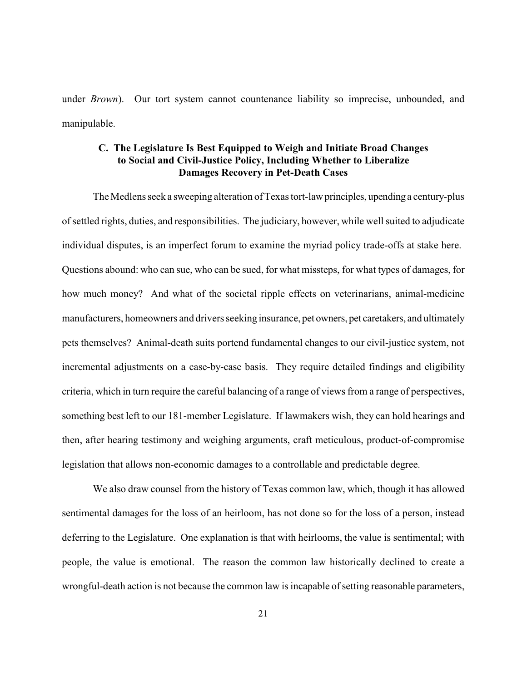under *Brown*). Our tort system cannot countenance liability so imprecise, unbounded, and manipulable.

## **C. The Legislature Is Best Equipped to Weigh and Initiate Broad Changes to Social and Civil-Justice Policy, Including Whether to Liberalize Damages Recovery in Pet-Death Cases**

The Medlens seek a sweeping alteration of Texas tort-lawprinciples, upendinga century-plus of settled rights, duties, and responsibilities. The judiciary, however, while well suited to adjudicate individual disputes, is an imperfect forum to examine the myriad policy trade-offs at stake here. Questions abound: who can sue, who can be sued, for what missteps, for what types of damages, for how much money? And what of the societal ripple effects on veterinarians, animal-medicine manufacturers, homeowners and drivers seeking insurance, pet owners, pet caretakers, and ultimately pets themselves? Animal-death suits portend fundamental changes to our civil-justice system, not incremental adjustments on a case-by-case basis. They require detailed findings and eligibility criteria, which in turn require the careful balancing of a range of views from a range of perspectives, something best left to our 181-member Legislature. If lawmakers wish, they can hold hearings and then, after hearing testimony and weighing arguments, craft meticulous, product-of-compromise legislation that allows non-economic damages to a controllable and predictable degree.

We also draw counsel from the history of Texas common law, which, though it has allowed sentimental damages for the loss of an heirloom, has not done so for the loss of a person, instead deferring to the Legislature. One explanation is that with heirlooms, the value is sentimental; with people, the value is emotional. The reason the common law historically declined to create a wrongful-death action is not because the common law is incapable of setting reasonable parameters,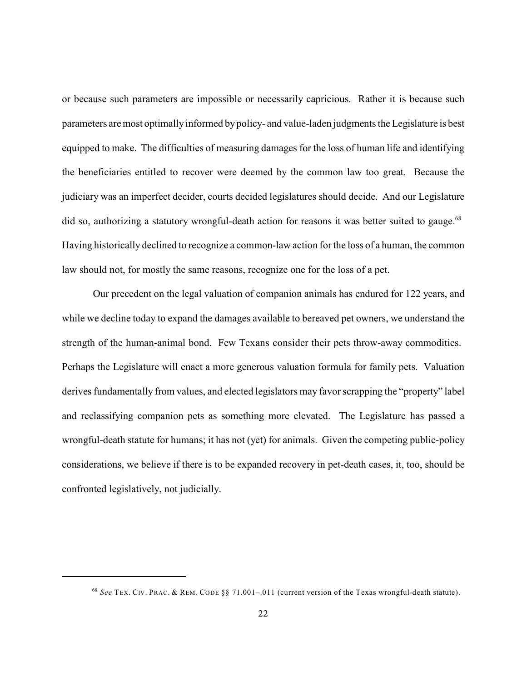or because such parameters are impossible or necessarily capricious. Rather it is because such parameters aremost optimally informed by policy- and value-laden judgments the Legislature is best equipped to make. The difficulties of measuring damages for the loss of human life and identifying the beneficiaries entitled to recover were deemed by the common law too great. Because the judiciary was an imperfect decider, courts decided legislatures should decide. And our Legislature did so, authorizing a statutory wrongful-death action for reasons it was better suited to gauge.<sup>68</sup> Having historically declined to recognize a common-law action for the loss of a human, the common law should not, for mostly the same reasons, recognize one for the loss of a pet.

Our precedent on the legal valuation of companion animals has endured for 122 years, and while we decline today to expand the damages available to bereaved pet owners, we understand the strength of the human-animal bond. Few Texans consider their pets throw-away commodities. Perhaps the Legislature will enact a more generous valuation formula for family pets. Valuation derives fundamentally from values, and elected legislators may favor scrapping the "property" label and reclassifying companion pets as something more elevated. The Legislature has passed a wrongful-death statute for humans; it has not (yet) for animals. Given the competing public-policy considerations, we believe if there is to be expanded recovery in pet-death cases, it, too, should be confronted legislatively, not judicially.

*See* TEX. CIV. PRAC. & REM. CODE §§ 71.001–.011 (current version of the Texas wrongful-death statute). 68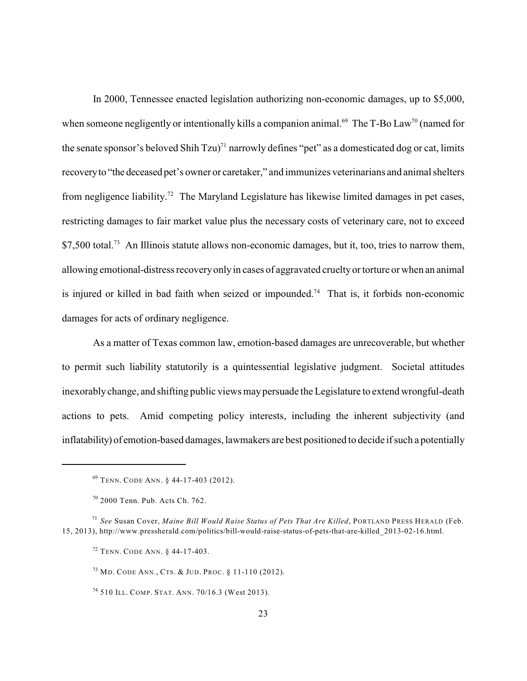In 2000, Tennessee enacted legislation authorizing non-economic damages, up to \$5,000, when someone negligently or intentionally kills a companion animal.<sup>69</sup> The T-Bo Law<sup>70</sup> (named for the senate sponsor's beloved Shih Tzu)<sup>71</sup> narrowly defines "pet" as a domesticated dog or cat, limits recoveryto "the deceased pet's owner or caretaker," and immunizes veterinarians and animal shelters from negligence liability.<sup>72</sup> The Maryland Legislature has likewise limited damages in pet cases, restricting damages to fair market value plus the necessary costs of veterinary care, not to exceed  $$7,500$  total.<sup>73</sup> An Illinois statute allows non-economic damages, but it, too, tries to narrow them, allowing emotional-distress recoveryonlyin cases of aggravated crueltyor torture or when an animal is injured or killed in bad faith when seized or impounded.<sup>74</sup> That is, it forbids non-economic damages for acts of ordinary negligence.

As a matter of Texas common law, emotion-based damages are unrecoverable, but whether to permit such liability statutorily is a quintessential legislative judgment. Societal attitudes inexorablychange, and shifting public views maypersuade the Legislature to extend wrongful-death actions to pets. Amid competing policy interests, including the inherent subjectivity (and inflatability) of emotion-based damages, lawmakers are best positioned to decide if such a potentially

<sup>&</sup>lt;sup>69</sup> TENN. CODE ANN. § 44-17-403 (2012).

<sup>2000</sup> Tenn. Pub. Acts Ch. 762. 70

*See* Susan Cover, *Maine Bill Would Raise Status of Pets That Are Killed*, PORTLAND PRESS HERALD (Feb. 71 15, 2013), http://www.pressherald.com/politics/bill-would-raise-status-of-pets-that-are-killed\_2013-02-16.html.

<sup>&</sup>lt;sup>72</sup> TENN. CODE ANN. § 44-17-403.

<sup>&</sup>lt;sup>73</sup> Md. Code Ann., Cts. & Jud. Proc. § 11-110 (2012).

<sup>&</sup>lt;sup>74</sup> 510 ILL. COMP. STAT. ANN. 70/16.3 (West 2013).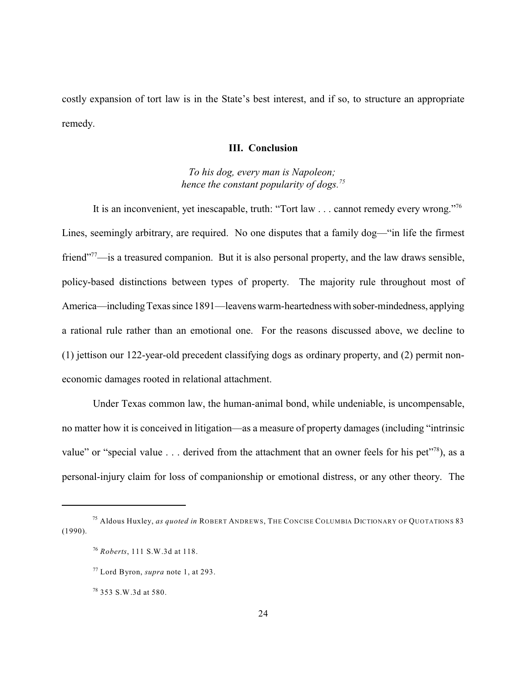costly expansion of tort law is in the State's best interest, and if so, to structure an appropriate remedy.

#### **III. Conclusion**

*To his dog, every man is Napoleon; hence the constant popularity of dogs.<sup>75</sup>*

It is an inconvenient, yet inescapable, truth: "Tort law . . . cannot remedy every wrong."<sup>76</sup> Lines, seemingly arbitrary, are required. No one disputes that a family dog—"in life the firmest friend" $\frac{77}{1}$  is a treasured companion. But it is also personal property, and the law draws sensible, policy-based distinctions between types of property. The majority rule throughout most of America—including Texas since 1891—leavens warm-heartedness with sober-mindedness, applying a rational rule rather than an emotional one. For the reasons discussed above, we decline to (1) jettison our 122-year-old precedent classifying dogs as ordinary property, and (2) permit noneconomic damages rooted in relational attachment.

Under Texas common law, the human-animal bond, while undeniable, is uncompensable, no matter how it is conceived in litigation—as a measure of property damages (including "intrinsic value" or "special value  $\dots$  derived from the attachment that an owner feels for his pet"<sup>78</sup>), as a personal-injury claim for loss of companionship or emotional distress, or any other theory. The

<sup>&</sup>lt;sup>75</sup> Aldous Huxley, *as quoted in* ROBERT ANDREWS, THE CONCISE COLUMBIA DICTIONARY OF QUOTATIONS 83 (1990).

*Roberts*, 111 S.W.3d at 118. 76

Lord Byron, *supra* note 1, at 293. 77

<sup>353</sup> S.W.3d at 580. 78